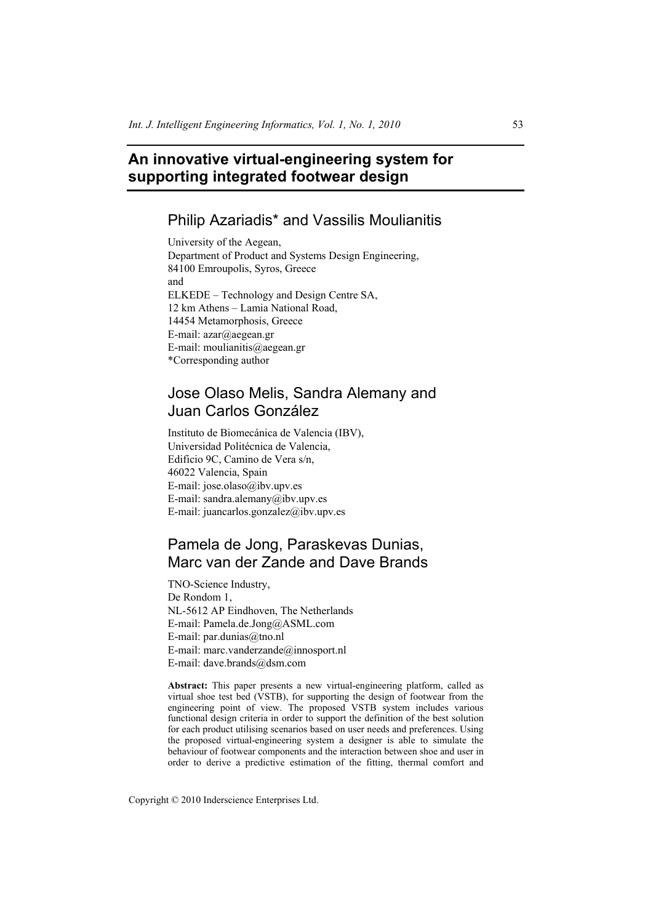# **An innovative virtual-engineering system for supporting integrated footwear design**

# Philip Azariadis\* and Vassilis Moulianitis

University of the Aegean, Department of Product and Systems Design Engineering, 84100 Emroupolis, Syros, Greece and ELKEDE – Technology and Design Centre SA, 12 km Athens – Lamia National Road, 14454 Metamorphosis, Greece E-mail: azar@aegean.gr E-mail: moulianitis@aegean.gr \*Corresponding author

# Jose Olaso Melis, Sandra Alemany and Juan Carlos González

Instituto de Biomecánica de Valencia (IBV), Universidad Politécnica de Valencia, Edificio 9C, Camino de Vera s/n, 46022 Valencia, Spain E-mail: jose.olaso@ibv.upv.es E-mail: sandra.alemany@ibv.upv.es E-mail: juancarlos.gonzalez@ibv.upv.es

# Pamela de Jong, Paraskevas Dunias, Marc van der Zande and Dave Brands

TNO-Science Industry, De Rondom 1 NL-5612 AP Eindhoven, The Netherlands E-mail: Pamela.de.Jong@ASML.com E-mail: par.dunias@tno.nl E-mail: marc.vanderzande@innosport.nl E-mail: dave.brands@dsm.com

**Abstract:** This paper presents a new virtual-engineering platform, called as virtual shoe test bed (VSTB), for supporting the design of footwear from the engineering point of view. The proposed VSTB system includes various functional design criteria in order to support the definition of the best solution for each product utilising scenarios based on user needs and preferences. Using the proposed virtual-engineering system a designer is able to simulate the behaviour of footwear components and the interaction between shoe and user in order to derive a predictive estimation of the fitting, thermal comfort and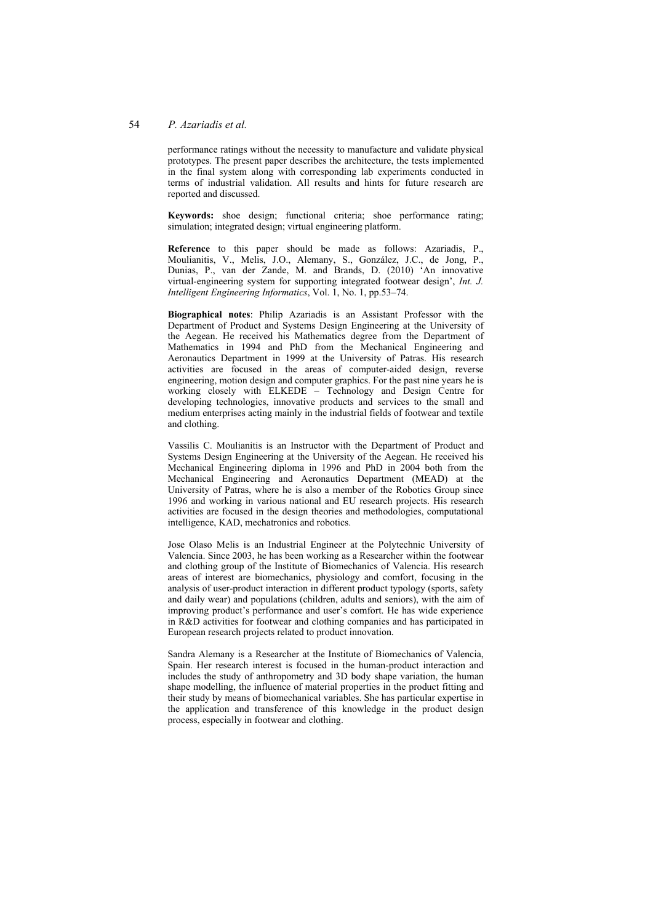performance ratings without the necessity to manufacture and validate physical prototypes. The present paper describes the architecture, the tests implemented in the final system along with corresponding lab experiments conducted in terms of industrial validation. All results and hints for future research are reported and discussed.

**Keywords:** shoe design; functional criteria; shoe performance rating; simulation; integrated design; virtual engineering platform.

**Reference** to this paper should be made as follows: Azariadis, P., Moulianitis, V., Melis, J.O., Alemany, S., González, J.C., de Jong, P., Dunias, P., van der Zande, M. and Brands, D. (2010) 'An innovative virtual-engineering system for supporting integrated footwear design', *Int. J. Intelligent Engineering Informatics*, Vol. 1, No. 1, pp.53–74.

**Biographical notes**: Philip Azariadis is an Assistant Professor with the Department of Product and Systems Design Engineering at the University of the Aegean. He received his Mathematics degree from the Department of Mathematics in 1994 and PhD from the Mechanical Engineering and Aeronautics Department in 1999 at the University of Patras. His research activities are focused in the areas of computer-aided design, reverse engineering, motion design and computer graphics. For the past nine years he is working closely with ELKEDE – Technology and Design Centre for developing technologies, innovative products and services to the small and medium enterprises acting mainly in the industrial fields of footwear and textile and clothing.

Vassilis C. Moulianitis is an Instructor with the Department of Product and Systems Design Engineering at the University of the Aegean. He received his Mechanical Engineering diploma in 1996 and PhD in 2004 both from the Mechanical Engineering and Aeronautics Department (MEAD) at the University of Patras, where he is also a member of the Robotics Group since 1996 and working in various national and EU research projects. His research activities are focused in the design theories and methodologies, computational intelligence, KAD, mechatronics and robotics.

Jose Olaso Melis is an Industrial Engineer at the Polytechnic University of Valencia. Since 2003, he has been working as a Researcher within the footwear and clothing group of the Institute of Biomechanics of Valencia. His research areas of interest are biomechanics, physiology and comfort, focusing in the analysis of user-product interaction in different product typology (sports, safety and daily wear) and populations (children, adults and seniors), with the aim of improving product's performance and user's comfort. He has wide experience in R&D activities for footwear and clothing companies and has participated in European research projects related to product innovation.

Sandra Alemany is a Researcher at the Institute of Biomechanics of Valencia, Spain. Her research interest is focused in the human-product interaction and includes the study of anthropometry and 3D body shape variation, the human shape modelling, the influence of material properties in the product fitting and their study by means of biomechanical variables. She has particular expertise in the application and transference of this knowledge in the product design process, especially in footwear and clothing.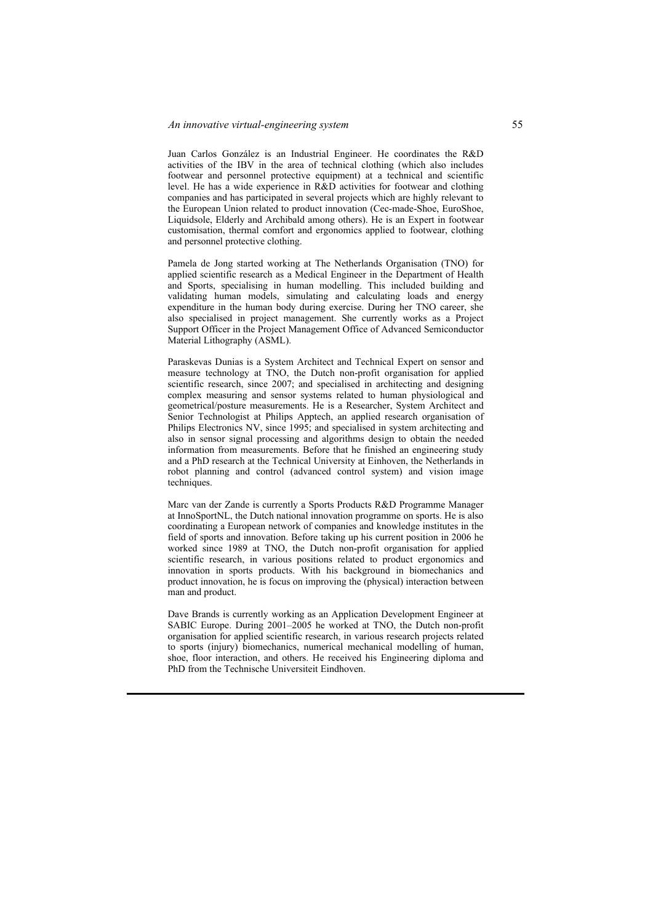#### *An innovative virtual-engineering system* 55

Juan Carlos González is an Industrial Engineer. He coordinates the R&D activities of the IBV in the area of technical clothing (which also includes footwear and personnel protective equipment) at a technical and scientific level. He has a wide experience in R&D activities for footwear and clothing companies and has participated in several projects which are highly relevant to the European Union related to product innovation (Cec-made-Shoe, EuroShoe, Liquidsole, Elderly and Archibald among others). He is an Expert in footwear customisation, thermal comfort and ergonomics applied to footwear, clothing and personnel protective clothing.

Pamela de Jong started working at The Netherlands Organisation (TNO) for applied scientific research as a Medical Engineer in the Department of Health and Sports, specialising in human modelling. This included building and validating human models, simulating and calculating loads and energy expenditure in the human body during exercise. During her TNO career, she also specialised in project management. She currently works as a Project Support Officer in the Project Management Office of Advanced Semiconductor Material Lithography (ASML).

Paraskevas Dunias is a System Architect and Technical Expert on sensor and measure technology at TNO, the Dutch non-profit organisation for applied scientific research, since 2007; and specialised in architecting and designing complex measuring and sensor systems related to human physiological and geometrical/posture measurements. He is a Researcher, System Architect and Senior Technologist at Philips Apptech, an applied research organisation of Philips Electronics NV, since 1995; and specialised in system architecting and also in sensor signal processing and algorithms design to obtain the needed information from measurements. Before that he finished an engineering study and a PhD research at the Technical University at Einhoven, the Netherlands in robot planning and control (advanced control system) and vision image techniques.

Marc van der Zande is currently a Sports Products R&D Programme Manager at InnoSportNL, the Dutch national innovation programme on sports. He is also coordinating a European network of companies and knowledge institutes in the field of sports and innovation. Before taking up his current position in 2006 he worked since 1989 at TNO, the Dutch non-profit organisation for applied scientific research, in various positions related to product ergonomics and innovation in sports products. With his background in biomechanics and product innovation, he is focus on improving the (physical) interaction between man and product.

Dave Brands is currently working as an Application Development Engineer at SABIC Europe. During 2001–2005 he worked at TNO, the Dutch non-profit organisation for applied scientific research, in various research projects related to sports (injury) biomechanics, numerical mechanical modelling of human, shoe, floor interaction, and others. He received his Engineering diploma and PhD from the Technische Universiteit Eindhoven.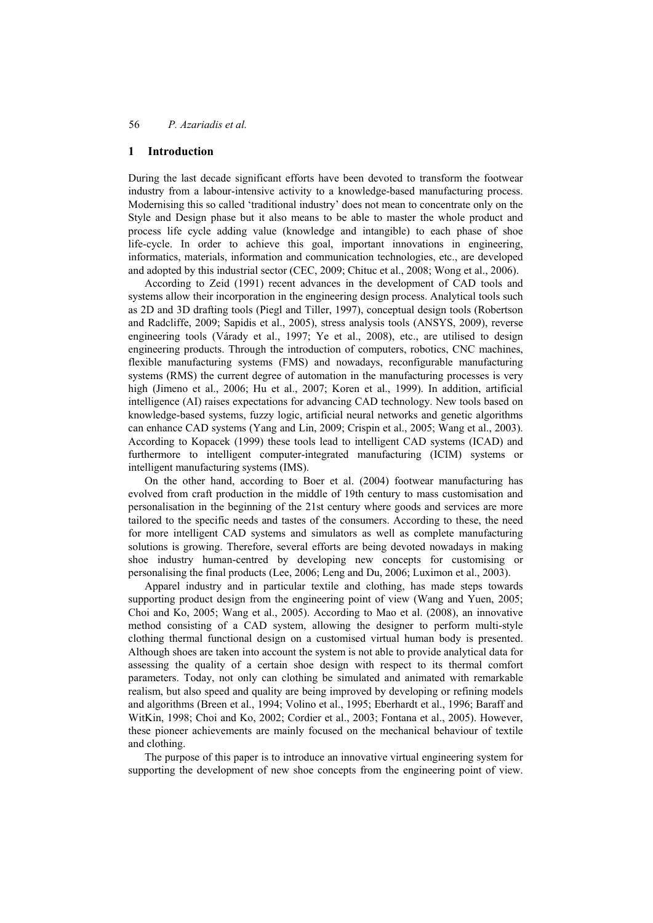### **1 Introduction**

During the last decade significant efforts have been devoted to transform the footwear industry from a labour-intensive activity to a knowledge-based manufacturing process. Modernising this so called 'traditional industry' does not mean to concentrate only on the Style and Design phase but it also means to be able to master the whole product and process life cycle adding value (knowledge and intangible) to each phase of shoe life-cycle. In order to achieve this goal, important innovations in engineering, informatics, materials, information and communication technologies, etc., are developed and adopted by this industrial sector (CEC, 2009; Chituc et al., 2008; Wong et al., 2006).

According to Zeid (1991) recent advances in the development of CAD tools and systems allow their incorporation in the engineering design process. Analytical tools such as 2D and 3D drafting tools (Piegl and Tiller, 1997), conceptual design tools (Robertson and Radcliffe, 2009; Sapidis et al., 2005), stress analysis tools (ANSYS, 2009), reverse engineering tools (Várady et al., 1997; Ye et al., 2008), etc., are utilised to design engineering products. Through the introduction of computers, robotics, CNC machines, flexible manufacturing systems (FMS) and nowadays, reconfigurable manufacturing systems (RMS) the current degree of automation in the manufacturing processes is very high (Jimeno et al., 2006; Hu et al., 2007; Koren et al., 1999). In addition, artificial intelligence (AI) raises expectations for advancing CAD technology. New tools based on knowledge-based systems, fuzzy logic, artificial neural networks and genetic algorithms can enhance CAD systems (Yang and Lin, 2009; Crispin et al., 2005; Wang et al., 2003). According to Kopacek (1999) these tools lead to intelligent CAD systems (ICAD) and furthermore to intelligent computer-integrated manufacturing (ICIM) systems or intelligent manufacturing systems (IMS).

On the other hand, according to Boer et al. (2004) footwear manufacturing has evolved from craft production in the middle of 19th century to mass customisation and personalisation in the beginning of the 21st century where goods and services are more tailored to the specific needs and tastes of the consumers. According to these, the need for more intelligent CAD systems and simulators as well as complete manufacturing solutions is growing. Therefore, several efforts are being devoted nowadays in making shoe industry human-centred by developing new concepts for customising or personalising the final products (Lee, 2006; Leng and Du, 2006; Luximon et al., 2003).

Apparel industry and in particular textile and clothing, has made steps towards supporting product design from the engineering point of view (Wang and Yuen, 2005; Choi and Ko, 2005; Wang et al., 2005). According to Mao et al. (2008), an innovative method consisting of a CAD system, allowing the designer to perform multi-style clothing thermal functional design on a customised virtual human body is presented. Although shoes are taken into account the system is not able to provide analytical data for assessing the quality of a certain shoe design with respect to its thermal comfort parameters. Today, not only can clothing be simulated and animated with remarkable realism, but also speed and quality are being improved by developing or refining models and algorithms (Breen et al., 1994; Volino et al., 1995; Eberhardt et al., 1996; Baraff and WitKin, 1998; Choi and Ko, 2002; Cordier et al., 2003; Fontana et al., 2005). However, these pioneer achievements are mainly focused on the mechanical behaviour of textile and clothing.

The purpose of this paper is to introduce an innovative virtual engineering system for supporting the development of new shoe concepts from the engineering point of view.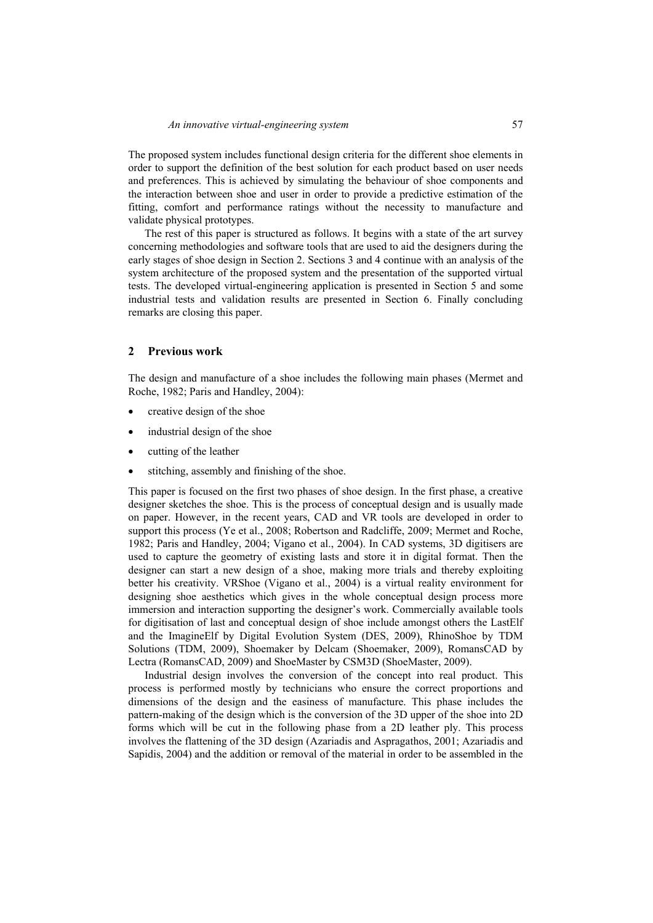The proposed system includes functional design criteria for the different shoe elements in order to support the definition of the best solution for each product based on user needs and preferences. This is achieved by simulating the behaviour of shoe components and the interaction between shoe and user in order to provide a predictive estimation of the fitting, comfort and performance ratings without the necessity to manufacture and validate physical prototypes.

The rest of this paper is structured as follows. It begins with a state of the art survey concerning methodologies and software tools that are used to aid the designers during the early stages of shoe design in Section 2. Sections 3 and 4 continue with an analysis of the system architecture of the proposed system and the presentation of the supported virtual tests. The developed virtual-engineering application is presented in Section 5 and some industrial tests and validation results are presented in Section 6. Finally concluding remarks are closing this paper.

#### **2 Previous work**

The design and manufacture of a shoe includes the following main phases (Mermet and Roche, 1982; Paris and Handley, 2004):

- creative design of the shoe
- industrial design of the shoe
- cutting of the leather
- stitching, assembly and finishing of the shoe.

This paper is focused on the first two phases of shoe design. In the first phase, a creative designer sketches the shoe. This is the process of conceptual design and is usually made on paper. However, in the recent years, CAD and VR tools are developed in order to support this process (Ye et al., 2008; Robertson and Radcliffe, 2009; Mermet and Roche, 1982; Paris and Handley, 2004; Vigano et al., 2004). In CAD systems, 3D digitisers are used to capture the geometry of existing lasts and store it in digital format. Then the designer can start a new design of a shoe, making more trials and thereby exploiting better his creativity. VRShoe (Vigano et al., 2004) is a virtual reality environment for designing shoe aesthetics which gives in the whole conceptual design process more immersion and interaction supporting the designer's work. Commercially available tools for digitisation of last and conceptual design of shoe include amongst others the LastElf and the ImagineElf by Digital Evolution System (DES, 2009), RhinoShoe by TDM Solutions (TDM, 2009), Shoemaker by Delcam (Shoemaker, 2009), RomansCAD by Lectra (RomansCAD, 2009) and ShoeMaster by CSM3D (ShoeMaster, 2009).

Industrial design involves the conversion of the concept into real product. This process is performed mostly by technicians who ensure the correct proportions and dimensions of the design and the easiness of manufacture. This phase includes the pattern-making of the design which is the conversion of the 3D upper of the shoe into 2D forms which will be cut in the following phase from a 2D leather ply. This process involves the flattening of the 3D design (Azariadis and Aspragathos, 2001; Azariadis and Sapidis, 2004) and the addition or removal of the material in order to be assembled in the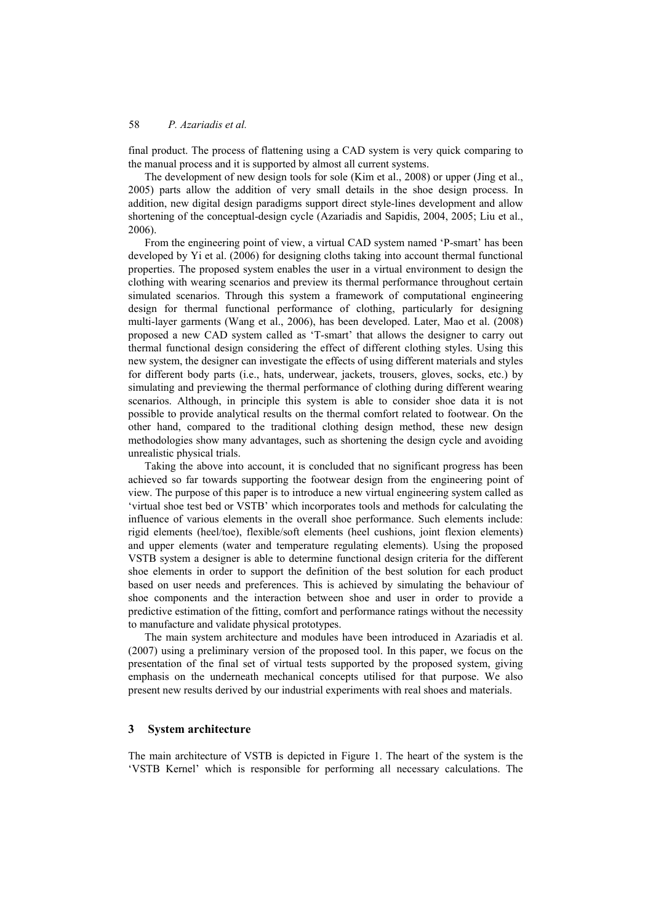final product. The process of flattening using a CAD system is very quick comparing to the manual process and it is supported by almost all current systems.

The development of new design tools for sole (Kim et al., 2008) or upper (Jing et al., 2005) parts allow the addition of very small details in the shoe design process. In addition, new digital design paradigms support direct style-lines development and allow shortening of the conceptual-design cycle (Azariadis and Sapidis, 2004, 2005; Liu et al., 2006).

From the engineering point of view, a virtual CAD system named 'P-smart' has been developed by Yi et al. (2006) for designing cloths taking into account thermal functional properties. The proposed system enables the user in a virtual environment to design the clothing with wearing scenarios and preview its thermal performance throughout certain simulated scenarios. Through this system a framework of computational engineering design for thermal functional performance of clothing, particularly for designing multi-layer garments (Wang et al., 2006), has been developed. Later, Mao et al. (2008) proposed a new CAD system called as 'T-smart' that allows the designer to carry out thermal functional design considering the effect of different clothing styles. Using this new system, the designer can investigate the effects of using different materials and styles for different body parts (i.e., hats, underwear, jackets, trousers, gloves, socks, etc.) by simulating and previewing the thermal performance of clothing during different wearing scenarios. Although, in principle this system is able to consider shoe data it is not possible to provide analytical results on the thermal comfort related to footwear. On the other hand, compared to the traditional clothing design method, these new design methodologies show many advantages, such as shortening the design cycle and avoiding unrealistic physical trials.

Taking the above into account, it is concluded that no significant progress has been achieved so far towards supporting the footwear design from the engineering point of view. The purpose of this paper is to introduce a new virtual engineering system called as 'virtual shoe test bed or VSTB' which incorporates tools and methods for calculating the influence of various elements in the overall shoe performance. Such elements include: rigid elements (heel/toe), flexible/soft elements (heel cushions, joint flexion elements) and upper elements (water and temperature regulating elements). Using the proposed VSTB system a designer is able to determine functional design criteria for the different shoe elements in order to support the definition of the best solution for each product based on user needs and preferences. This is achieved by simulating the behaviour of shoe components and the interaction between shoe and user in order to provide a predictive estimation of the fitting, comfort and performance ratings without the necessity to manufacture and validate physical prototypes.

The main system architecture and modules have been introduced in Azariadis et al. (2007) using a preliminary version of the proposed tool. In this paper, we focus on the presentation of the final set of virtual tests supported by the proposed system, giving emphasis on the underneath mechanical concepts utilised for that purpose. We also present new results derived by our industrial experiments with real shoes and materials.

## **3 System architecture**

The main architecture of VSTB is depicted in Figure 1. The heart of the system is the 'VSTB Kernel' which is responsible for performing all necessary calculations. The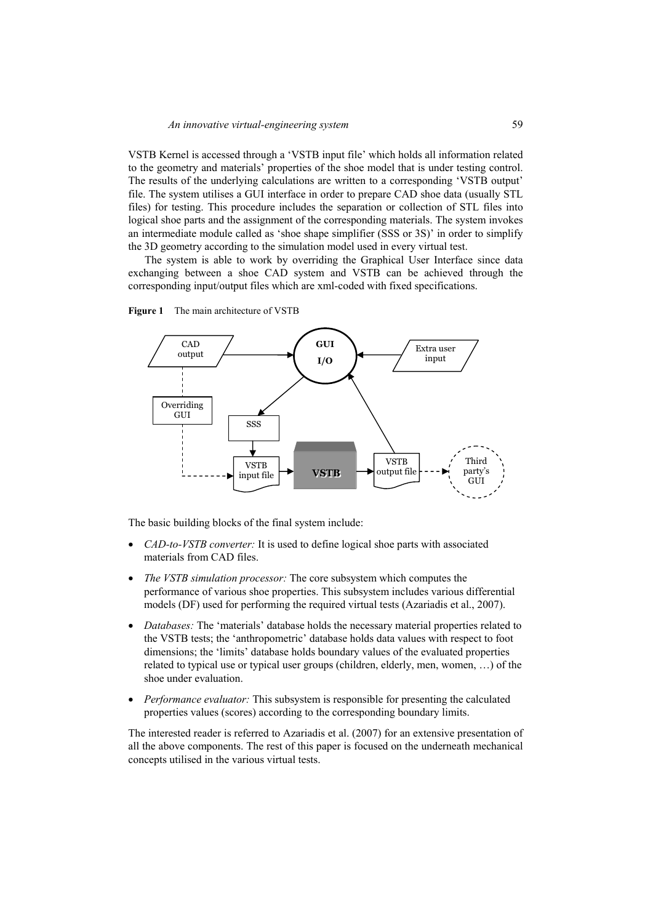VSTB Kernel is accessed through a 'VSTB input file' which holds all information related to the geometry and materials' properties of the shoe model that is under testing control. The results of the underlying calculations are written to a corresponding 'VSTB output' file. The system utilises a GUI interface in order to prepare CAD shoe data (usually STL files) for testing. This procedure includes the separation or collection of STL files into logical shoe parts and the assignment of the corresponding materials. The system invokes an intermediate module called as 'shoe shape simplifier (SSS or 3S)' in order to simplify the 3D geometry according to the simulation model used in every virtual test.

The system is able to work by overriding the Graphical User Interface since data exchanging between a shoe CAD system and VSTB can be achieved through the corresponding input/output files which are xml-coded with fixed specifications.

**Figure 1** The main architecture of VSTB



The basic building blocks of the final system include:

- *CAD-to-VSTB converter:* It is used to define logical shoe parts with associated materials from CAD files.
- *The VSTB simulation processor:* The core subsystem which computes the performance of various shoe properties. This subsystem includes various differential models (DF) used for performing the required virtual tests (Azariadis et al., 2007).
- *Databases:* The 'materials' database holds the necessary material properties related to the VSTB tests; the 'anthropometric' database holds data values with respect to foot dimensions; the 'limits' database holds boundary values of the evaluated properties related to typical use or typical user groups (children, elderly, men, women, …) of the shoe under evaluation.
- *Performance evaluator:* This subsystem is responsible for presenting the calculated properties values (scores) according to the corresponding boundary limits.

The interested reader is referred to Azariadis et al. (2007) for an extensive presentation of all the above components. The rest of this paper is focused on the underneath mechanical concepts utilised in the various virtual tests.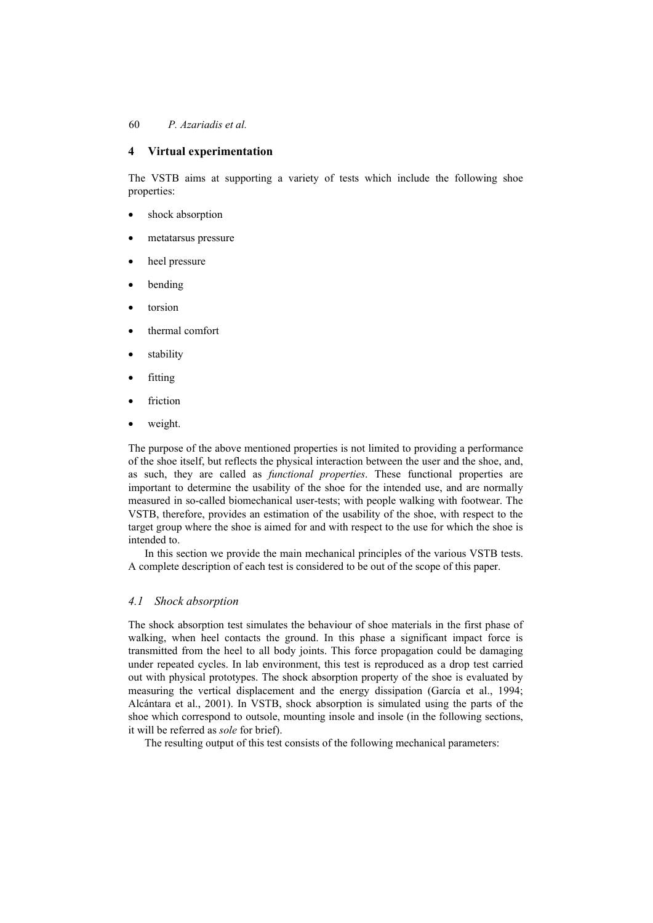### **4 Virtual experimentation**

The VSTB aims at supporting a variety of tests which include the following shoe properties:

- shock absorption
- metatarsus pressure
- heel pressure
- **bending**
- **torsion**
- thermal comfort
- stability
- fitting
- friction
- weight.

The purpose of the above mentioned properties is not limited to providing a performance of the shoe itself, but reflects the physical interaction between the user and the shoe, and, as such, they are called as *functional properties*. These functional properties are important to determine the usability of the shoe for the intended use, and are normally measured in so-called biomechanical user-tests; with people walking with footwear. The VSTB, therefore, provides an estimation of the usability of the shoe, with respect to the target group where the shoe is aimed for and with respect to the use for which the shoe is intended to.

In this section we provide the main mechanical principles of the various VSTB tests. A complete description of each test is considered to be out of the scope of this paper.

# *4.1 Shock absorption*

The shock absorption test simulates the behaviour of shoe materials in the first phase of walking, when heel contacts the ground. In this phase a significant impact force is transmitted from the heel to all body joints. This force propagation could be damaging under repeated cycles. In lab environment, this test is reproduced as a drop test carried out with physical prototypes. The shock absorption property of the shoe is evaluated by measuring the vertical displacement and the energy dissipation (García et al., 1994; Alcántara et al., 2001). In VSTB, shock absorption is simulated using the parts of the shoe which correspond to outsole, mounting insole and insole (in the following sections, it will be referred as *sole* for brief).

The resulting output of this test consists of the following mechanical parameters: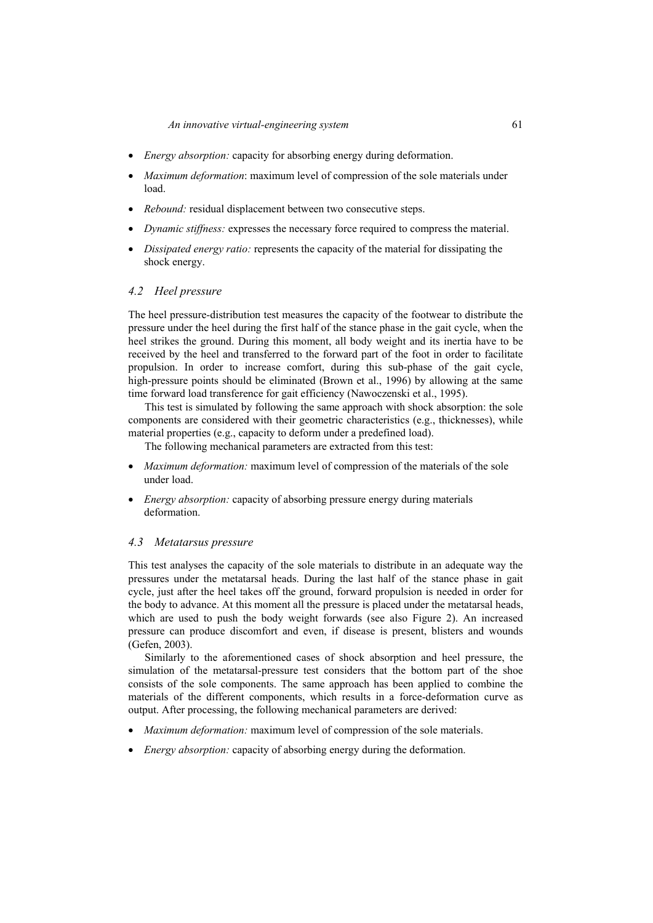- *Energy absorption:* capacity for absorbing energy during deformation.
- *Maximum deformation*: maximum level of compression of the sole materials under load.
- *Rebound:* residual displacement between two consecutive steps.
- *Dynamic stiffness:* expresses the necessary force required to compress the material.
- *Dissipated energy ratio:* represents the capacity of the material for dissipating the shock energy.

#### *4.2 Heel pressure*

The heel pressure-distribution test measures the capacity of the footwear to distribute the pressure under the heel during the first half of the stance phase in the gait cycle, when the heel strikes the ground. During this moment, all body weight and its inertia have to be received by the heel and transferred to the forward part of the foot in order to facilitate propulsion. In order to increase comfort, during this sub-phase of the gait cycle, high-pressure points should be eliminated (Brown et al., 1996) by allowing at the same time forward load transference for gait efficiency (Nawoczenski et al., 1995).

This test is simulated by following the same approach with shock absorption: the sole components are considered with their geometric characteristics (e.g., thicknesses), while material properties (e.g., capacity to deform under a predefined load).

The following mechanical parameters are extracted from this test:

- *Maximum deformation:* maximum level of compression of the materials of the sole under load.
- *Energy absorption:* capacity of absorbing pressure energy during materials deformation.

#### *4.3 Metatarsus pressure*

This test analyses the capacity of the sole materials to distribute in an adequate way the pressures under the metatarsal heads. During the last half of the stance phase in gait cycle, just after the heel takes off the ground, forward propulsion is needed in order for the body to advance. At this moment all the pressure is placed under the metatarsal heads, which are used to push the body weight forwards (see also Figure 2). An increased pressure can produce discomfort and even, if disease is present, blisters and wounds (Gefen, 2003).

Similarly to the aforementioned cases of shock absorption and heel pressure, the simulation of the metatarsal-pressure test considers that the bottom part of the shoe consists of the sole components. The same approach has been applied to combine the materials of the different components, which results in a force-deformation curve as output. After processing, the following mechanical parameters are derived:

- *Maximum deformation:* maximum level of compression of the sole materials.
- *Energy absorption:* capacity of absorbing energy during the deformation.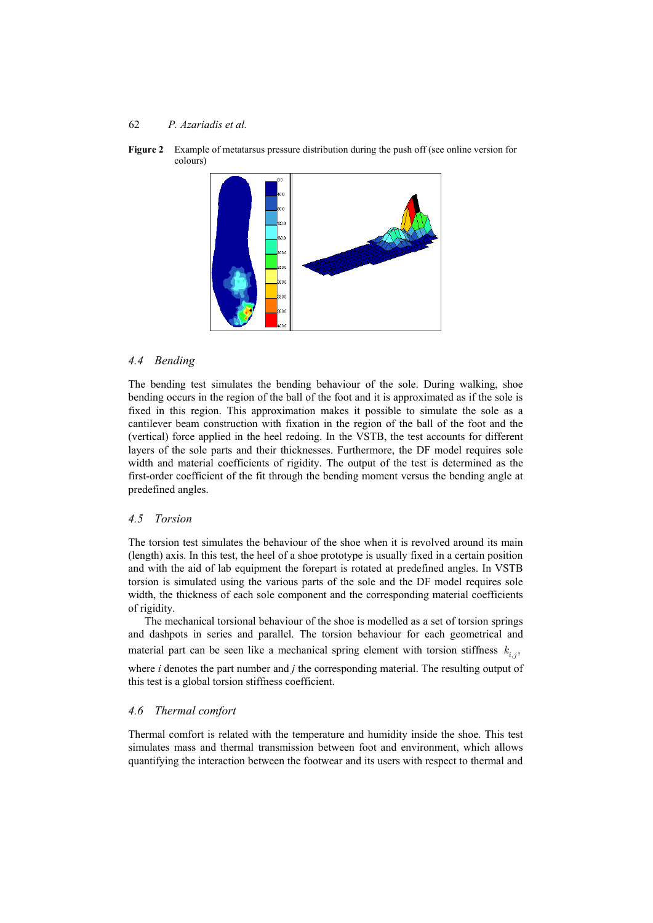

**Figure 2** Example of metatarsus pressure distribution during the push off (see online version for colours)

### *4.4 Bending*

The bending test simulates the bending behaviour of the sole. During walking, shoe bending occurs in the region of the ball of the foot and it is approximated as if the sole is fixed in this region. This approximation makes it possible to simulate the sole as a cantilever beam construction with fixation in the region of the ball of the foot and the (vertical) force applied in the heel redoing. In the VSTB, the test accounts for different layers of the sole parts and their thicknesses. Furthermore, the DF model requires sole width and material coefficients of rigidity. The output of the test is determined as the first-order coefficient of the fit through the bending moment versus the bending angle at predefined angles.

#### *4.5 Torsion*

The torsion test simulates the behaviour of the shoe when it is revolved around its main (length) axis. In this test, the heel of a shoe prototype is usually fixed in a certain position and with the aid of lab equipment the forepart is rotated at predefined angles. In VSTB torsion is simulated using the various parts of the sole and the DF model requires sole width, the thickness of each sole component and the corresponding material coefficients of rigidity.

The mechanical torsional behaviour of the shoe is modelled as a set of torsion springs and dashpots in series and parallel. The torsion behaviour for each geometrical and material part can be seen like a mechanical spring element with torsion stiffness  $k_{i,j}$ ,

where *i* denotes the part number and *j* the corresponding material. The resulting output of this test is a global torsion stiffness coefficient.

## *4.6 Thermal comfort*

Thermal comfort is related with the temperature and humidity inside the shoe. This test simulates mass and thermal transmission between foot and environment, which allows quantifying the interaction between the footwear and its users with respect to thermal and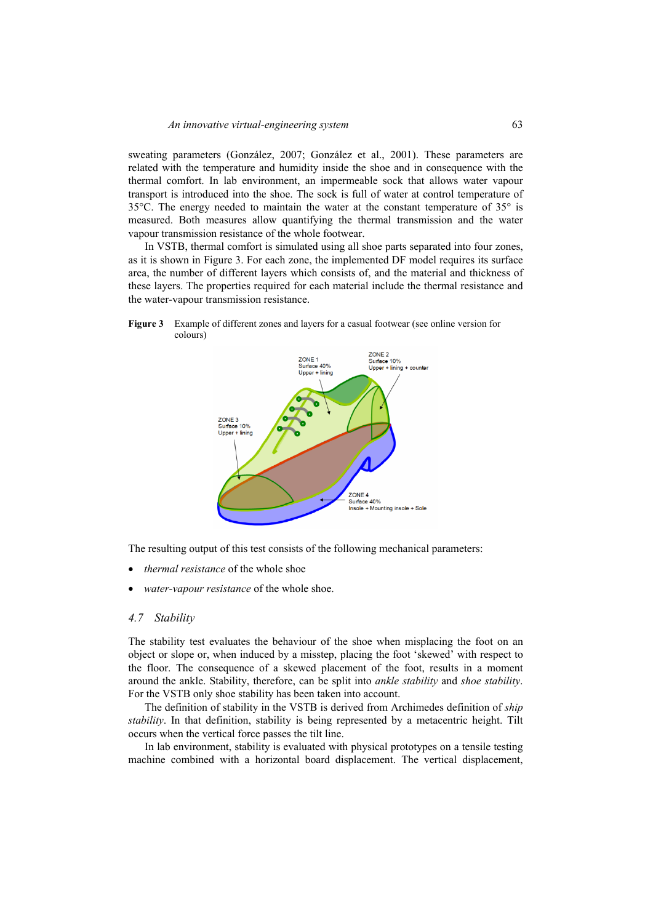sweating parameters (González, 2007; González et al., 2001). These parameters are related with the temperature and humidity inside the shoe and in consequence with the thermal comfort. In lab environment, an impermeable sock that allows water vapour transport is introduced into the shoe. The sock is full of water at control temperature of 35°C. The energy needed to maintain the water at the constant temperature of 35° is measured. Both measures allow quantifying the thermal transmission and the water vapour transmission resistance of the whole footwear.

In VSTB, thermal comfort is simulated using all shoe parts separated into four zones, as it is shown in Figure 3. For each zone, the implemented DF model requires its surface area, the number of different layers which consists of, and the material and thickness of these layers. The properties required for each material include the thermal resistance and the water-vapour transmission resistance.



**Figure 3** Example of different zones and layers for a casual footwear (see online version for colours)

The resulting output of this test consists of the following mechanical parameters:

- *thermal resistance* of the whole shoe
- *water-vapour resistance* of the whole shoe.

## *4.7 Stability*

The stability test evaluates the behaviour of the shoe when misplacing the foot on an object or slope or, when induced by a misstep, placing the foot 'skewed' with respect to the floor. The consequence of a skewed placement of the foot, results in a moment around the ankle. Stability, therefore, can be split into *ankle stability* and *shoe stability*. For the VSTB only shoe stability has been taken into account.

The definition of stability in the VSTB is derived from Archimedes definition of *ship stability*. In that definition, stability is being represented by a metacentric height. Tilt occurs when the vertical force passes the tilt line.

In lab environment, stability is evaluated with physical prototypes on a tensile testing machine combined with a horizontal board displacement. The vertical displacement,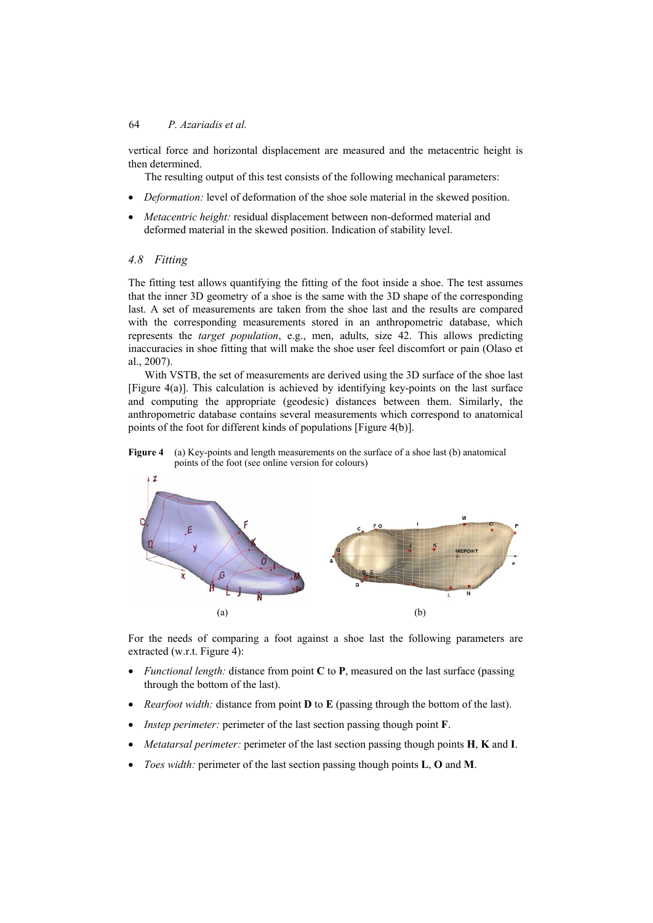vertical force and horizontal displacement are measured and the metacentric height is then determined.

The resulting output of this test consists of the following mechanical parameters:

- *Deformation:* level of deformation of the shoe sole material in the skewed position.
- *Metacentric height:* residual displacement between non-deformed material and deformed material in the skewed position. Indication of stability level.

## *4.8 Fitting*

The fitting test allows quantifying the fitting of the foot inside a shoe. The test assumes that the inner 3D geometry of a shoe is the same with the 3D shape of the corresponding last. A set of measurements are taken from the shoe last and the results are compared with the corresponding measurements stored in an anthropometric database, which represents the *target population*, e.g., men, adults, size 42. This allows predicting inaccuracies in shoe fitting that will make the shoe user feel discomfort or pain (Olaso et al., 2007).

With VSTB, the set of measurements are derived using the 3D surface of the shoe last [Figure 4(a)]. This calculation is achieved by identifying key-points on the last surface and computing the appropriate (geodesic) distances between them. Similarly, the anthropometric database contains several measurements which correspond to anatomical points of the foot for different kinds of populations [Figure 4(b)].





For the needs of comparing a foot against a shoe last the following parameters are extracted (w.r.t. Figure 4):

- *Functional length:* distance from point **C** to **P**, measured on the last surface (passing through the bottom of the last).
- *Rearfoot width:* distance from point **D** to **E** (passing through the bottom of the last).
- *Instep perimeter:* perimeter of the last section passing though point **F**.
- *Metatarsal perimeter:* perimeter of the last section passing though points **H**, **K** and **I**.
- *Toes width:* perimeter of the last section passing though points **L**, **O** and **M**.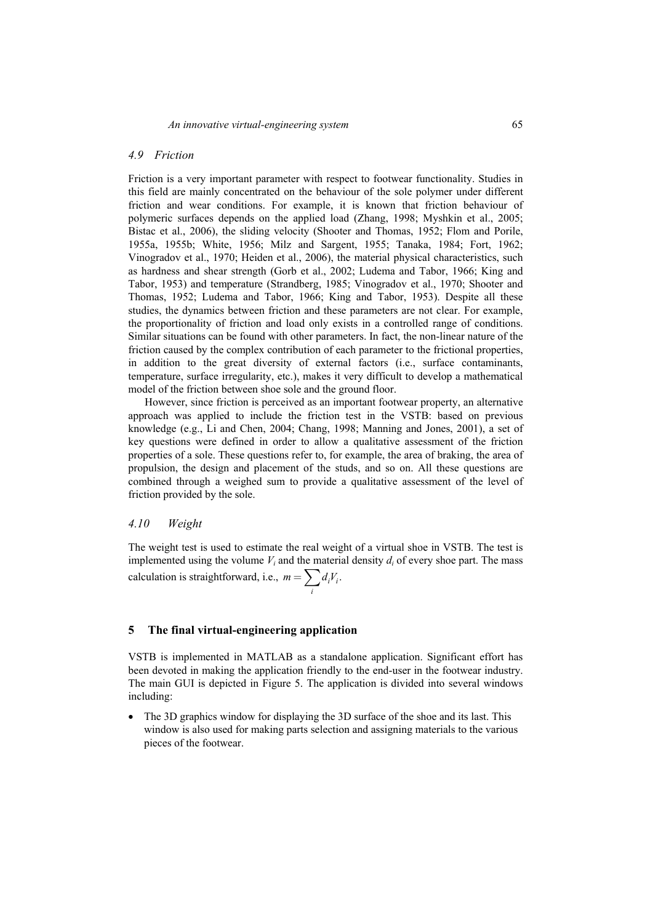## *4.9 Friction*

Friction is a very important parameter with respect to footwear functionality. Studies in this field are mainly concentrated on the behaviour of the sole polymer under different friction and wear conditions. For example, it is known that friction behaviour of polymeric surfaces depends on the applied load (Zhang, 1998; Myshkin et al., 2005; Bistac et al., 2006), the sliding velocity (Shooter and Thomas, 1952; Flom and Porile, 1955a, 1955b; White, 1956; Milz and Sargent, 1955; Tanaka, 1984; Fort, 1962; Vinogradov et al., 1970; Heiden et al., 2006), the material physical characteristics, such as hardness and shear strength (Gorb et al., 2002; Ludema and Tabor, 1966; King and Tabor, 1953) and temperature (Strandberg, 1985; Vinogradov et al., 1970; Shooter and Thomas, 1952; Ludema and Tabor, 1966; King and Tabor, 1953). Despite all these studies, the dynamics between friction and these parameters are not clear. For example, the proportionality of friction and load only exists in a controlled range of conditions. Similar situations can be found with other parameters. In fact, the non-linear nature of the friction caused by the complex contribution of each parameter to the frictional properties, in addition to the great diversity of external factors (i.e., surface contaminants, temperature, surface irregularity, etc.), makes it very difficult to develop a mathematical model of the friction between shoe sole and the ground floor.

However, since friction is perceived as an important footwear property, an alternative approach was applied to include the friction test in the VSTB: based on previous knowledge (e.g., Li and Chen, 2004; Chang, 1998; Manning and Jones, 2001), a set of key questions were defined in order to allow a qualitative assessment of the friction properties of a sole. These questions refer to, for example, the area of braking, the area of propulsion, the design and placement of the studs, and so on. All these questions are combined through a weighed sum to provide a qualitative assessment of the level of friction provided by the sole.

#### *4.10 Weight*

The weight test is used to estimate the real weight of a virtual shoe in VSTB. The test is implemented using the volume  $V_i$  and the material density  $d_i$  of every shoe part. The mass calculation is straightforward, i.e.,  $m = \sum d_i V_i$ .  $m = \sum_i d_i V$ 

## **5 The final virtual-engineering application**

VSTB is implemented in MATLAB as a standalone application. Significant effort has been devoted in making the application friendly to the end-user in the footwear industry. The main GUI is depicted in Figure 5. The application is divided into several windows including:

The 3D graphics window for displaying the 3D surface of the shoe and its last. This window is also used for making parts selection and assigning materials to the various pieces of the footwear.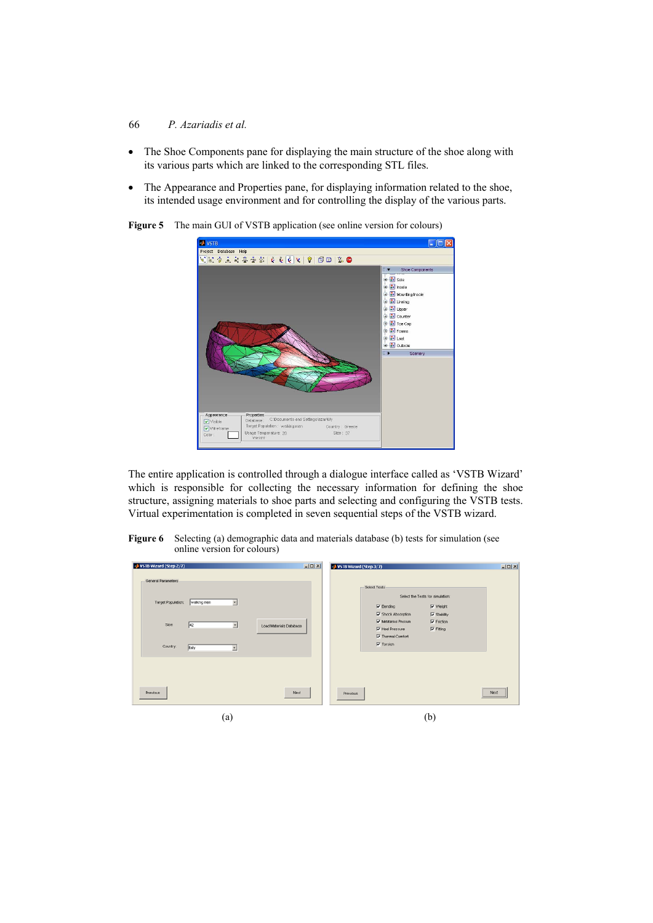- The Shoe Components pane for displaying the main structure of the shoe along with its various parts which are linked to the corresponding STL files.
- The Appearance and Properties pane, for displaying information related to the shoe, its intended usage environment and for controlling the display of the various parts.

**Figure 5** The main GUI of VSTB application (see online version for colours)



The entire application is controlled through a dialogue interface called as 'VSTB Wizard' which is responsible for collecting the necessary information for defining the shoe structure, assigning materials to shoe parts and selecting and configuring the VSTB tests. Virtual experimentation is completed in seven sequential steps of the VSTB wizard.

**Figure 6** Selecting (a) demographic data and materials database (b) tests for simulation (see online version for colours)

| VSTB Wizard (Step 2/7) |                 | $\Box$ DIXI             | VSTB Wizard (Step 3/7)                                                                                                      | $\Box$ |
|------------------------|-----------------|-------------------------|-----------------------------------------------------------------------------------------------------------------------------|--------|
| General Parameters     |                 |                         | Select Tests                                                                                                                |        |
| Target Population:     | waking men<br>Ξ |                         | Select the Tests for sinulation:<br>IV Weight<br>$\nabla$ Bending                                                           |        |
| Size:                  | 42<br>Σ         | Load Materials Database | V Shock Absorption<br>$\nabla$ Stabilty<br>V Mestarous Presoure<br>$\nabla$ Friction<br>$\nabla$ Fitting<br>V Heel Pressure |        |
| Country:               | toly<br>×       |                         | V Thermal Comfort<br>$\nabla$ Torsion                                                                                       |        |
|                        |                 |                         |                                                                                                                             |        |
| <b>Previous</b>        |                 | Next                    | Previous                                                                                                                    | Next   |
|                        | (a)             |                         | (b)                                                                                                                         |        |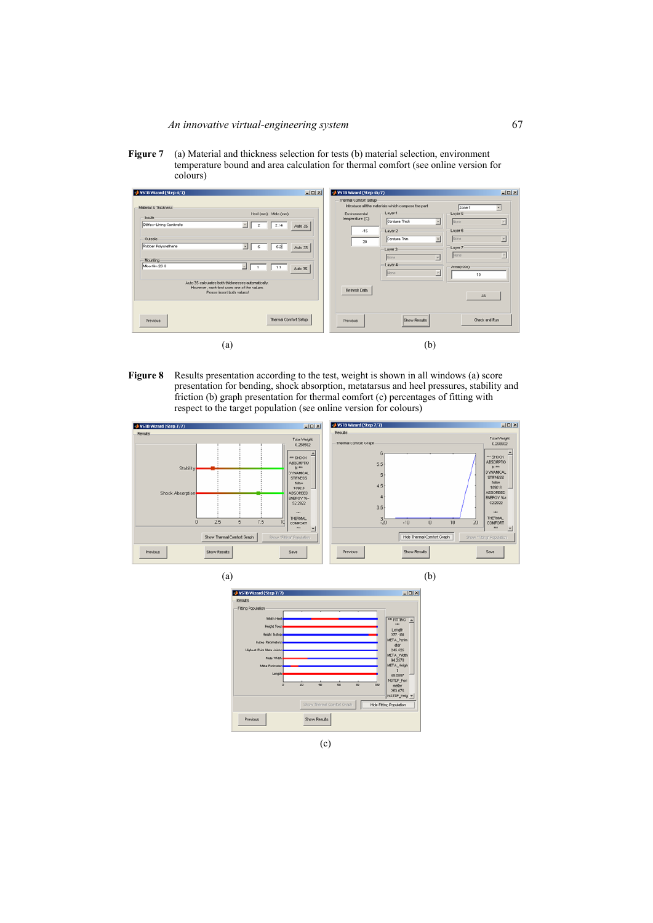*An innovative virtual-engineering system* 67

**Figure 7** (a) Material and thickness selection for tests (b) material selection, environment temperature bound and area calculation for thermal comfort (see online version for colours)

| Z <br>J VSTB Wizard (Step 4/7)                                                                                                                                                      | +3 VSTB Wizard (Step 4b/7)                                                                                           | X |
|-------------------------------------------------------------------------------------------------------------------------------------------------------------------------------------|----------------------------------------------------------------------------------------------------------------------|---|
| Material & Thickness                                                                                                                                                                | Thermal Comfort setup<br>Introduce all the materials which compose the part<br>Zone 1<br>Ξ                           |   |
| Heel (mm) Meta (mm)<br>- Insole<br>Stiffex+Lining Combrelle<br>ᅬ<br>$\overline{2}$<br>2.14<br>Auto 3S                                                                               | Layer 1<br>Layer 5<br>Environmental<br>temperature (C):<br>Cordura Thick<br>×<br>None<br>Layer 6<br>$-15$<br>Layer 2 | z |
| Outsole<br>Rubber Polyurethane<br>븨<br>5.2<br>5<br>Auto 3S                                                                                                                          | Cordura Thin<br>None<br>$\overline{\phantom{a}}$<br>20<br>Layer 7                                                    | E |
| Mounting-<br>Mborfilm 208<br>피트<br>1.1<br>Auto 3S<br>Auto 3S calculates both thicknesses automatically.<br>However, each test uses one of the values.<br>Please insert both values! | Layer 3<br>None<br>None<br>×<br>Lover 4<br>Area(mXm)<br>None<br>z<br>10<br>Refresh Data<br>3S                        | ٠ |
| Thermal Comfort Setup<br>Previous                                                                                                                                                   | Show Results<br>Check and Run<br><b>Previous</b>                                                                     |   |
| (a)                                                                                                                                                                                 | (b                                                                                                                   |   |

Figure 8 Results presentation according to the test, weight is shown in all windows (a) score presentation for bending, shock absorption, metatarsus and heel pressures, stability and friction (b) graph presentation for thermal comfort (c) percentages of fitting with respect to the target population (see online version for colours)





(c)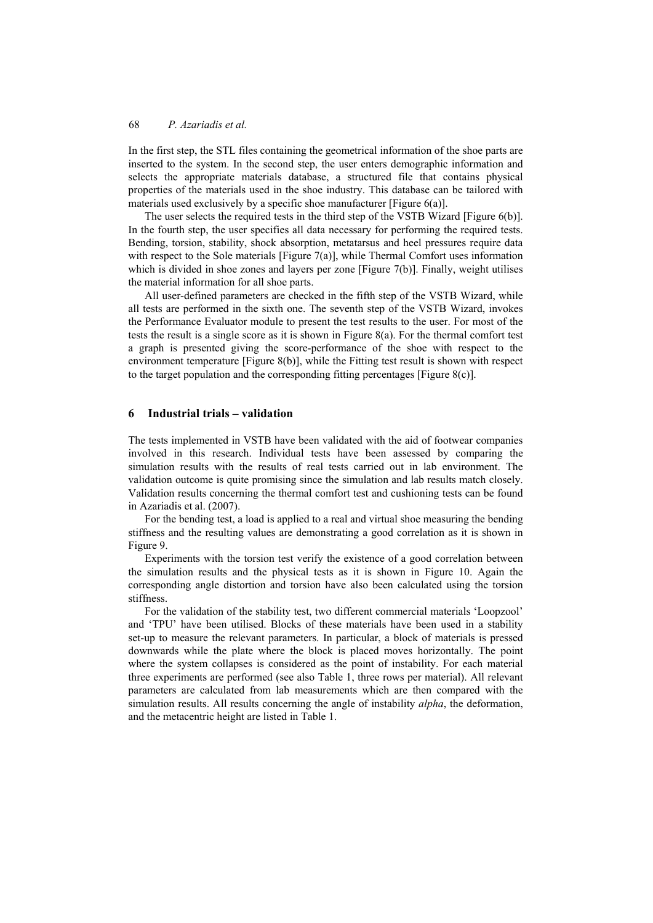In the first step, the STL files containing the geometrical information of the shoe parts are inserted to the system. In the second step, the user enters demographic information and selects the appropriate materials database, a structured file that contains physical properties of the materials used in the shoe industry. This database can be tailored with materials used exclusively by a specific shoe manufacturer [Figure 6(a)].

The user selects the required tests in the third step of the VSTB Wizard [Figure 6(b)]. In the fourth step, the user specifies all data necessary for performing the required tests. Bending, torsion, stability, shock absorption, metatarsus and heel pressures require data with respect to the Sole materials [Figure 7(a)], while Thermal Comfort uses information which is divided in shoe zones and layers per zone [Figure 7(b)]. Finally, weight utilises the material information for all shoe parts.

All user-defined parameters are checked in the fifth step of the VSTB Wizard, while all tests are performed in the sixth one. The seventh step of the VSTB Wizard, invokes the Performance Evaluator module to present the test results to the user. For most of the tests the result is a single score as it is shown in Figure  $8(a)$ . For the thermal comfort test a graph is presented giving the score-performance of the shoe with respect to the environment temperature [Figure 8(b)], while the Fitting test result is shown with respect to the target population and the corresponding fitting percentages [Figure 8(c)].

# **6 Industrial trials – validation**

The tests implemented in VSTB have been validated with the aid of footwear companies involved in this research. Individual tests have been assessed by comparing the simulation results with the results of real tests carried out in lab environment. The validation outcome is quite promising since the simulation and lab results match closely. Validation results concerning the thermal comfort test and cushioning tests can be found in Azariadis et al. (2007).

For the bending test, a load is applied to a real and virtual shoe measuring the bending stiffness and the resulting values are demonstrating a good correlation as it is shown in Figure 9.

Experiments with the torsion test verify the existence of a good correlation between the simulation results and the physical tests as it is shown in Figure 10. Again the corresponding angle distortion and torsion have also been calculated using the torsion stiffness.

For the validation of the stability test, two different commercial materials 'Loopzool' and 'TPU' have been utilised. Blocks of these materials have been used in a stability set-up to measure the relevant parameters. In particular, a block of materials is pressed downwards while the plate where the block is placed moves horizontally. The point where the system collapses is considered as the point of instability. For each material three experiments are performed (see also Table 1, three rows per material). All relevant parameters are calculated from lab measurements which are then compared with the simulation results. All results concerning the angle of instability *alpha*, the deformation, and the metacentric height are listed in Table 1.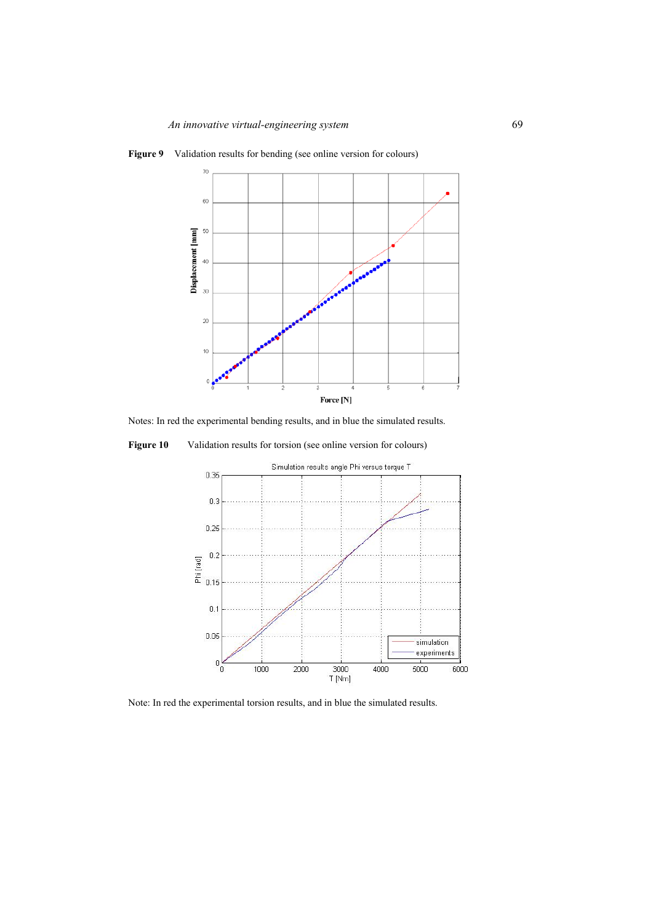

Figure 9 Validation results for bending (see online version for colours)

Notes: In red the experimental bending results, and in blue the simulated results.

**Figure 10** Validation results for torsion (see online version for colours)



Note: In red the experimental torsion results, and in blue the simulated results.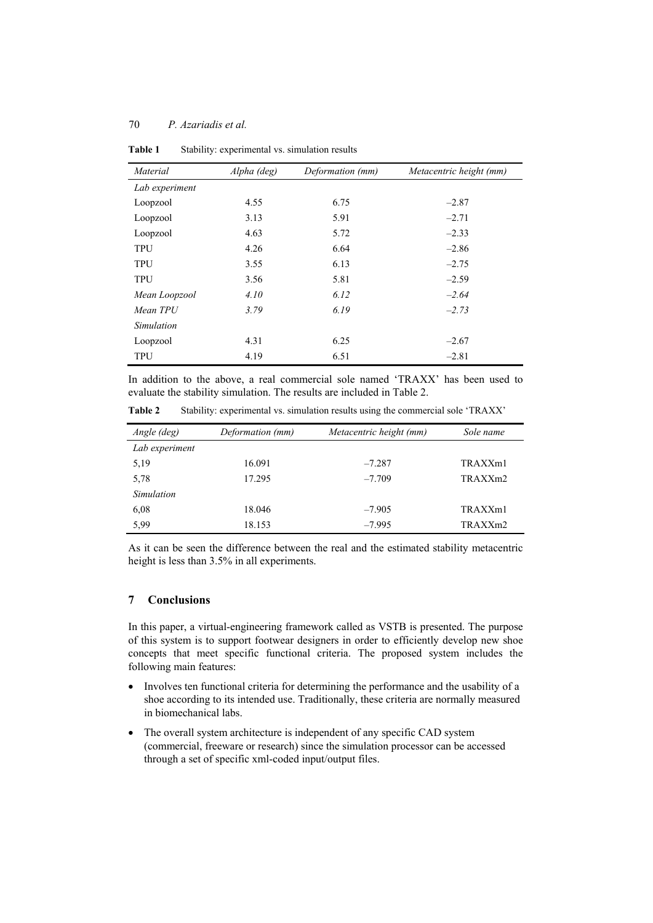| Material       | Alpha (deg) | Deformation (mm) | Metacentric height (mm) |
|----------------|-------------|------------------|-------------------------|
| Lab experiment |             |                  |                         |
| Loopzool       | 4.55        | 6.75             | $-2.87$                 |
| Loopzool       | 3.13        | 5.91             | $-2.71$                 |
| Loopzool       | 4.63        | 5.72             | $-2.33$                 |
| <b>TPU</b>     | 4.26        | 6.64             | $-2.86$                 |
| <b>TPU</b>     | 3.55        | 6.13             | $-2.75$                 |
| <b>TPU</b>     | 3.56        | 5.81             | $-2.59$                 |
| Mean Loopzool  | 4.10        | 6.12             | $-2.64$                 |
| Mean TPU       | 3.79        | 6.19             | $-2.73$                 |
| Simulation     |             |                  |                         |
| Loopzool       | 4.31        | 6.25             | $-2.67$                 |
| <b>TPU</b>     | 4.19        | 6.51             | $-2.81$                 |

**Table 1** Stability: experimental vs. simulation results

In addition to the above, a real commercial sole named 'TRAXX' has been used to evaluate the stability simulation. The results are included in Table 2.

| Table 2 | Stability: experimental vs. simulation results using the commercial sole 'TRAXX' |  |  |  |  |  |
|---------|----------------------------------------------------------------------------------|--|--|--|--|--|
|         |                                                                                  |  |  |  |  |  |

| Angle (deg)    | Deformation (mm) | Metacentric height (mm) | Sole name |
|----------------|------------------|-------------------------|-----------|
| Lab experiment |                  |                         |           |
| 5,19           | 16.091           | $-7.287$                | TRAXXm1   |
| 5,78           | 17.295           | $-7.709$                | TRAXXm2   |
| Simulation     |                  |                         |           |
| 6,08           | 18.046           | $-7.905$                | TRAXXm1   |
| 5,99           | 18.153           | $-7.995$                | TRAXXm2   |

As it can be seen the difference between the real and the estimated stability metacentric height is less than 3.5% in all experiments.

## **7 Conclusions**

In this paper, a virtual-engineering framework called as VSTB is presented. The purpose of this system is to support footwear designers in order to efficiently develop new shoe concepts that meet specific functional criteria. The proposed system includes the following main features:

- Involves ten functional criteria for determining the performance and the usability of a shoe according to its intended use. Traditionally, these criteria are normally measured in biomechanical labs.
- The overall system architecture is independent of any specific CAD system (commercial, freeware or research) since the simulation processor can be accessed through a set of specific xml-coded input/output files.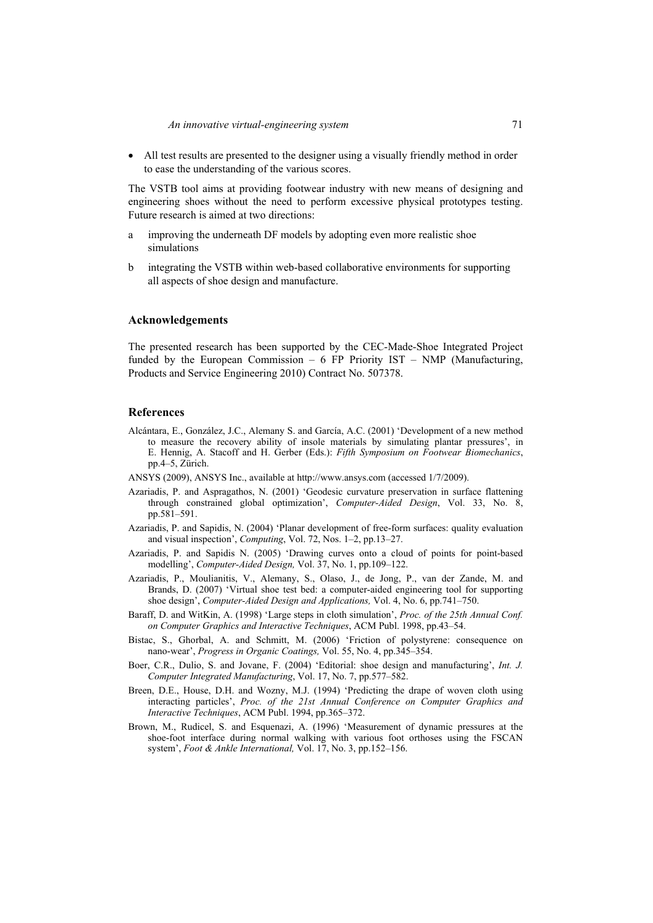• All test results are presented to the designer using a visually friendly method in order to ease the understanding of the various scores.

The VSTB tool aims at providing footwear industry with new means of designing and engineering shoes without the need to perform excessive physical prototypes testing. Future research is aimed at two directions:

- a improving the underneath DF models by adopting even more realistic shoe simulations
- b integrating the VSTB within web-based collaborative environments for supporting all aspects of shoe design and manufacture.

## **Acknowledgements**

The presented research has been supported by the CEC-Made-Shoe Integrated Project funded by the European Commission – 6 FP Priority IST – NMP (Manufacturing, Products and Service Engineering 2010) Contract No. 507378.

### **References**

- Alcántara, E., González, J.C., Alemany S. and García, A.C. (2001) 'Development of a new method to measure the recovery ability of insole materials by simulating plantar pressures', in E. Hennig, A. Stacoff and H. Gerber (Eds.): *Fifth Symposium on Footwear Biomechanics*, pp.4–5, Zürich.
- ANSYS (2009), ANSYS Inc., available at http://www.ansys.com (accessed 1/7/2009).
- Azariadis, P. and Aspragathos, N. (2001) 'Geodesic curvature preservation in surface flattening through constrained global optimization', *Computer-Aided Design*, Vol. 33, No. 8, pp.581–591.
- Azariadis, P. and Sapidis, N. (2004) 'Planar development of free-form surfaces: quality evaluation and visual inspection', *Computing*, Vol. 72, Nos. 1–2, pp.13–27.
- Azariadis, P. and Sapidis N. (2005) 'Drawing curves onto a cloud of points for point-based modelling', *Computer-Aided Design,* Vol. 37, No. 1, pp.109–122.
- Azariadis, P., Moulianitis, V., Alemany, S., Olaso, J., de Jong, P., van der Zande, M. and Brands, D. (2007) 'Virtual shoe test bed: a computer-aided engineering tool for supporting shoe design', *Computer-Aided Design and Applications,* Vol. 4, No. 6, pp.741–750.
- Baraff, D. and WitKin, A. (1998) 'Large steps in cloth simulation', *Proc. of the 25th Annual Conf. on Computer Graphics and Interactive Techniques*, ACM Publ. 1998, pp.43–54.
- Bistac, S., Ghorbal, A. and Schmitt, M. (2006) 'Friction of polystyrene: consequence on nano-wear', *Progress in Organic Coatings,* Vol. 55, No. 4, pp.345–354.
- Boer, C.R., Dulio, S. and Jovane, F. (2004) 'Editorial: shoe design and manufacturing', *Int. J. Computer Integrated Manufacturing*, Vol. 17, No. 7, pp.577–582.
- Breen, D.E., House, D.H. and Wozny, M.J. (1994) 'Predicting the drape of woven cloth using interacting particles', *Proc. of the 21st Annual Conference on Computer Graphics and Interactive Techniques*, ACM Publ. 1994, pp.365–372.
- Brown, M., Rudicel, S. and Esquenazi, A. (1996) 'Measurement of dynamic pressures at the shoe-foot interface during normal walking with various foot orthoses using the FSCAN system', *Foot & Ankle International,* Vol. 17, No. 3, pp.152–156.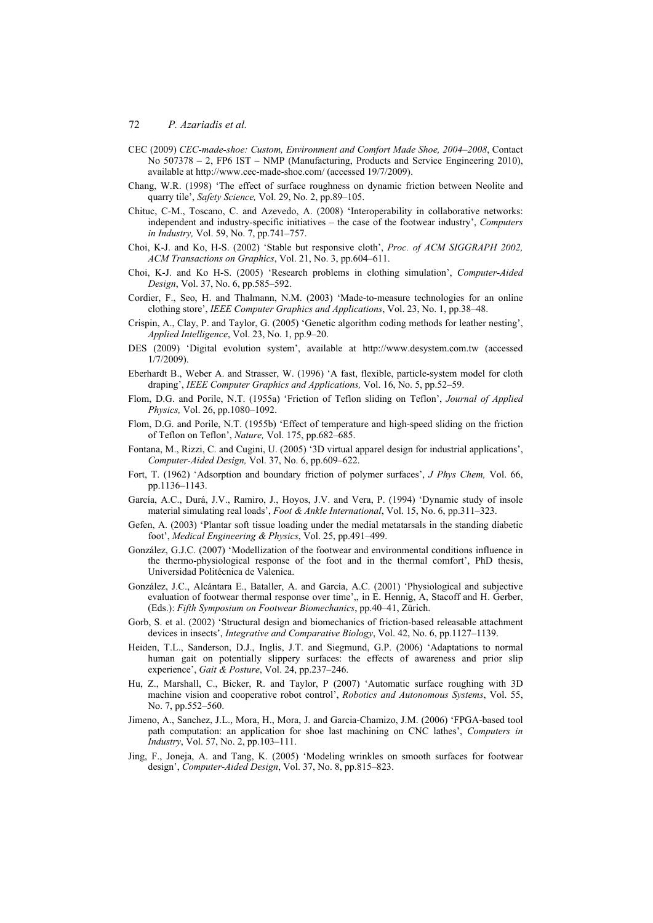- CEC (2009) *CEC-made-shoe: Custom, Environment and Comfort Made Shoe, 2004–2008*, Contact No 507378 – 2, FP6 IST – NMP (Manufacturing, Products and Service Engineering 2010), available at http://www.cec-made-shoe.com/ (accessed 19/7/2009).
- Chang, W.R. (1998) 'The effect of surface roughness on dynamic friction between Neolite and quarry tile', *Safety Science,* Vol. 29, No. 2, pp.89–105.
- Chituc, C-M., Toscano, C. and Azevedo, A. (2008) 'Interoperability in collaborative networks: independent and industry-specific initiatives – the case of the footwear industry', *Computers in Industry,* Vol. 59, No. 7, pp.741–757.
- Choi, K-J. and Ko, H-S. (2002) 'Stable but responsive cloth', *Proc. of ACM SIGGRAPH 2002, ACM Transactions on Graphics*, Vol. 21, No. 3, pp.604–611.
- Choi, K-J. and Ko H-S. (2005) 'Research problems in clothing simulation', *Computer-Aided Design*, Vol. 37, No. 6, pp.585–592.
- Cordier, F., Seo, H. and Thalmann, N.M. (2003) 'Made-to-measure technologies for an online clothing store', *IEEE Computer Graphics and Applications*, Vol. 23, No. 1, pp.38–48.
- Crispin, A., Clay, P. and Taylor, G. (2005) 'Genetic algorithm coding methods for leather nesting', *Applied Intelligence*, Vol. 23, No. 1, pp.9–20.
- DES (2009) 'Digital evolution system', available at http://www.desystem.com.tw (accessed 1/7/2009).
- Eberhardt B., Weber A. and Strasser, W. (1996) 'A fast, flexible, particle-system model for cloth draping', *IEEE Computer Graphics and Applications,* Vol. 16, No. 5, pp.52–59.
- Flom, D.G. and Porile, N.T. (1955a) 'Friction of Teflon sliding on Teflon', *Journal of Applied Physics,* Vol. 26, pp.1080–1092.
- Flom, D.G. and Porile, N.T. (1955b) 'Effect of temperature and high-speed sliding on the friction of Teflon on Teflon', *Nature,* Vol. 175, pp.682–685.
- Fontana, M., Rizzi, C. and Cugini, U. (2005) '3D virtual apparel design for industrial applications', *Computer-Aided Design,* Vol. 37, No. 6, pp.609–622.
- Fort, T. (1962) 'Adsorption and boundary friction of polymer surfaces', *J Phys Chem,* Vol. 66, pp.1136–1143.
- García, A.C., Durá, J.V., Ramiro, J., Hoyos, J.V. and Vera, P. (1994) 'Dynamic study of insole material simulating real loads', *Foot & Ankle International*, Vol. 15, No. 6, pp.311–323.
- Gefen, A. (2003) 'Plantar soft tissue loading under the medial metatarsals in the standing diabetic foot', *Medical Engineering & Physics*, Vol. 25, pp.491–499.
- González, G.J.C. (2007) 'Modellization of the footwear and environmental conditions influence in the thermo-physiological response of the foot and in the thermal comfort', PhD thesis, Universidad Politécnica de Valenica.
- González, J.C., Alcántara E., Bataller, A. and García, A.C. (2001) 'Physiological and subjective evaluation of footwear thermal response over time',, in E. Hennig, A, Stacoff and H. Gerber, (Eds.): *Fifth Symposium on Footwear Biomechanics*, pp.40–41, Zürich.
- Gorb, S. et al. (2002) 'Structural design and biomechanics of friction-based releasable attachment devices in insects', *Integrative and Comparative Biology*, Vol. 42, No. 6, pp.1127–1139.
- Heiden, T.L., Sanderson, D.J., Inglis, J.T. and Siegmund, G.P. (2006) 'Adaptations to normal human gait on potentially slippery surfaces: the effects of awareness and prior slip experience', *Gait & Posture*, Vol. 24, pp.237–246.
- Hu, Z., Marshall, C., Bicker, R. and Taylor, P (2007) 'Automatic surface roughing with 3D machine vision and cooperative robot control', *Robotics and Autonomous Systems*, Vol. 55, No. 7, pp.552–560.
- Jimeno, A., Sanchez, J.L., Mora, H., Mora, J. and Garcia-Chamizo, J.M. (2006) 'FPGA-based tool path computation: an application for shoe last machining on CNC lathes', *Computers in Industry*, Vol. 57, No. 2, pp.103–111.
- Jing, F., Joneja, A. and Tang, K. (2005) 'Modeling wrinkles on smooth surfaces for footwear design', *Computer-Aided Design*, Vol. 37, No. 8, pp.815–823.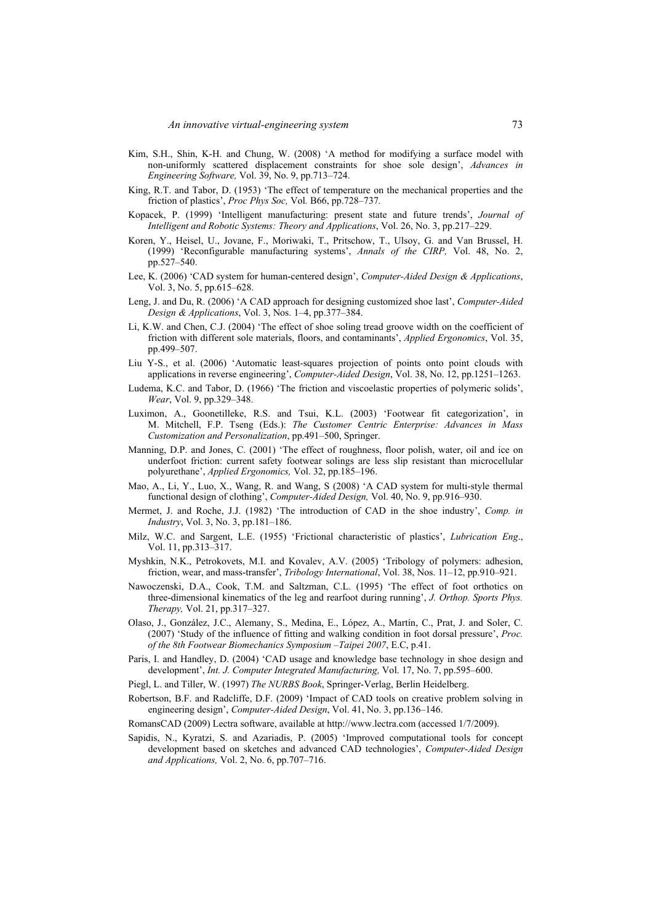- Kim, S.H., Shin, K-H. and Chung, W. (2008) 'A method for modifying a surface model with non-uniformly scattered displacement constraints for shoe sole design', *Advances in Engineering Software,* Vol. 39, No. 9, pp.713–724.
- King, R.T. and Tabor, D. (1953) 'The effect of temperature on the mechanical properties and the friction of plastics', *Proc Phys Soc*, Vol. B66, pp.728–737.
- Kopacek, P. (1999) 'Intelligent manufacturing: present state and future trends', *Journal of Intelligent and Robotic Systems: Theory and Applications*, Vol. 26, No. 3, pp.217–229.
- Koren, Y., Heisel, U., Jovane, F., Moriwaki, T., Pritschow, T., Ulsoy, G. and Van Brussel, H. (1999) 'Reconfigurable manufacturing systems', *Annals of the CIRP,* Vol. 48, No. 2, pp.527–540.
- Lee, K. (2006) 'CAD system for human-centered design', *Computer-Aided Design & Applications*, Vol. 3, No. 5, pp.615–628.
- Leng, J. and Du, R. (2006) 'A CAD approach for designing customized shoe last', *Computer-Aided Design & Applications*, Vol. 3, Nos. 1–4, pp.377–384.
- Li, K.W. and Chen, C.J. (2004) 'The effect of shoe soling tread groove width on the coefficient of friction with different sole materials, floors, and contaminants', *Applied Ergonomics*, Vol. 35, pp.499–507.
- Liu Y-S., et al. (2006) 'Automatic least-squares projection of points onto point clouds with applications in reverse engineering', *Computer-Aided Design*, Vol. 38, No. 12, pp.1251–1263.
- Ludema, K.C. and Tabor, D. (1966) 'The friction and viscoelastic properties of polymeric solids', *Wear*, Vol. 9, pp.329–348.
- Luximon, A., Goonetilleke, R.S. and Tsui, K.L. (2003) 'Footwear fit categorization', in M. Mitchell, F.P. Tseng (Eds.): *The Customer Centric Enterprise: Advances in Mass Customization and Personalization*, pp.491–500, Springer.
- Manning, D.P. and Jones, C. (2001) 'The effect of roughness, floor polish, water, oil and ice on underfoot friction: current safety footwear solings are less slip resistant than microcellular polyurethane', *Applied Ergonomics,* Vol. 32, pp.185–196.
- Mao, A., Li, Y., Luo, X., Wang, R. and Wang, S (2008) 'A CAD system for multi-style thermal functional design of clothing', *Computer-Aided Design,* Vol. 40, No. 9, pp.916–930.
- Mermet, J. and Roche, J.J. (1982) 'The introduction of CAD in the shoe industry', *Comp. in Industry*, Vol. 3, No. 3, pp.181–186.
- Milz, W.C. and Sargent, L.E. (1955) 'Frictional characteristic of plastics', *Lubrication Eng*., Vol. 11, pp.313–317.
- Myshkin, N.K., Petrokovets, M.I. and Kovalev, A.V. (2005) 'Tribology of polymers: adhesion, friction, wear, and mass-transfer', *Tribology International*, Vol. 38, Nos. 11–12, pp.910–921.
- Nawoczenski, D.A., Cook, T.M. and Saltzman, C.L. (1995) 'The effect of foot orthotics on three-dimensional kinematics of the leg and rearfoot during running', *J. Orthop. Sports Phys. Therapy,* Vol. 21, pp.317–327.
- Olaso, J., González, J.C., Alemany, S., Medina, E., López, A., Martín, C., Prat, J. and Soler, C. (2007) 'Study of the influence of fitting and walking condition in foot dorsal pressure', *Proc. of the 8th Footwear Biomechanics Symposium –Taipei 2007*, E.C, p.41.
- Paris, I. and Handley, D. (2004) 'CAD usage and knowledge base technology in shoe design and development', *Int. J. Computer Integrated Manufacturing,* Vol. 17, No. 7, pp.595–600.
- Piegl, L. and Tiller, W. (1997) *The NURBS Book*, Springer-Verlag, Berlin Heidelberg.
- Robertson, B.F. and Radcliffe, D.F. (2009) 'Impact of CAD tools on creative problem solving in engineering design', *Computer-Aided Design*, Vol. 41, No. 3, pp.136–146.
- RomansCAD (2009) Lectra software, available at http://www.lectra.com (accessed 1/7/2009).
- Sapidis, N., Kyratzi, S. and Azariadis, P. (2005) 'Improved computational tools for concept development based on sketches and advanced CAD technologies', *Computer-Aided Design and Applications,* Vol. 2, No. 6, pp.707–716.